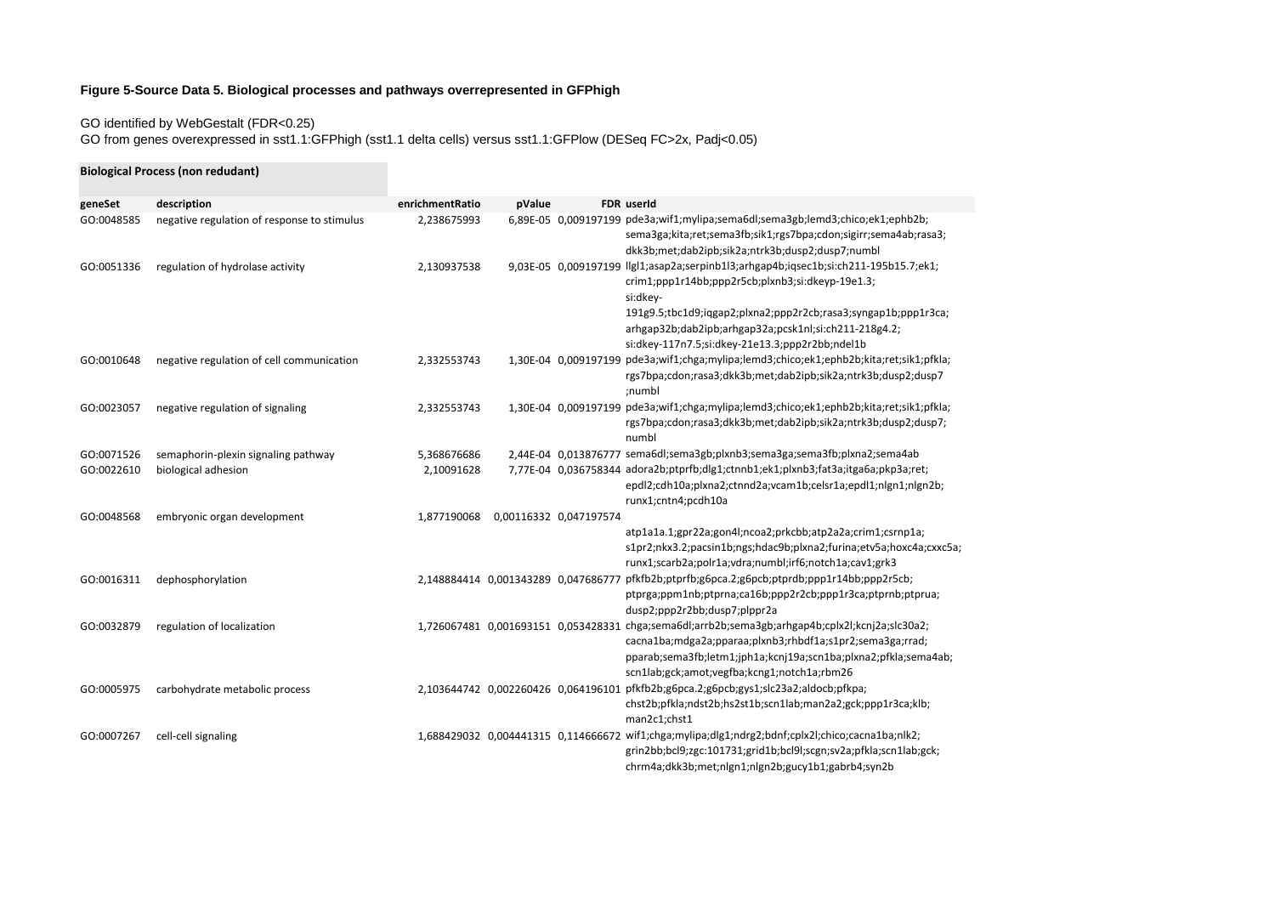## **Figure 5-Source Data 5. Biological processes and pathways overrepresented in GFPhigh**

GO identified by WebGestalt (FDR<0.25)

GO from genes overexpressed in sst1.1:GFPhigh (sst1.1 delta cells) versus sst1.1:GFPlow (DESeq FC>2x, Padj<0.05)

|            | <b>Biological Process (non redudant)</b>    |                 |                                     |                                     |                                                                                                                                                                                                                                                                                                                                    |
|------------|---------------------------------------------|-----------------|-------------------------------------|-------------------------------------|------------------------------------------------------------------------------------------------------------------------------------------------------------------------------------------------------------------------------------------------------------------------------------------------------------------------------------|
| geneSet    | description                                 | enrichmentRatio | pValue                              |                                     | FDR userId                                                                                                                                                                                                                                                                                                                         |
| GO:0048585 | negative regulation of response to stimulus | 2,238675993     |                                     |                                     | 6,89E-05 0,009197199 pde3a;wif1;mylipa;sema6dl;sema3gb;lemd3;chico;ek1;ephb2b;<br>sema3ga;kita;ret;sema3fb;sik1;rgs7bpa;cdon;sigirr;sema4ab;rasa3;<br>dkk3b;met;dab2ipb;sik2a;ntrk3b;dusp2;dusp7;numbl                                                                                                                             |
| GO:0051336 | regulation of hydrolase activity            | 2,130937538     |                                     |                                     | 9,03E-05 0,009197199 llgl1;asap2a;serpinb1l3;arhgap4b;iqsec1b;si:ch211-195b15.7;ek1;<br>crim1;ppp1r14bb;ppp2r5cb;plxnb3;si:dkeyp-19e1.3;<br>si:dkey-<br>191g9.5;tbc1d9;iqgap2;plxna2;ppp2r2cb;rasa3;syngap1b;ppp1r3ca;<br>arhgap32b;dab2ipb;arhgap32a;pcsk1nl;si:ch211-218g4.2;<br>si:dkey-117n7.5;si:dkey-21e13.3;ppp2r2bb;ndel1b |
| GO:0010648 | negative regulation of cell communication   | 2,332553743     |                                     |                                     | 1,30E-04 0,009197199 pde3a;wif1;chga;mylipa;lemd3;chico;ek1;ephb2b;kita;ret;sik1;pfkla;<br>rgs7bpa;cdon;rasa3;dkk3b;met;dab2ipb;sik2a;ntrk3b;dusp2;dusp7<br>;numbl                                                                                                                                                                 |
| GO:0023057 | negative regulation of signaling            | 2,332553743     |                                     |                                     | 1,30E-04 0,009197199 pde3a;wif1;chga;mylipa;lemd3;chico;ek1;ephb2b;kita;ret;sik1;pfkla;<br>rgs7bpa;cdon;rasa3;dkk3b;met;dab2ipb;sik2a;ntrk3b;dusp2;dusp7;<br>numbl                                                                                                                                                                 |
| GO:0071526 | semaphorin-plexin signaling pathway         | 5,368676686     |                                     |                                     | 2,44E-04 0,013876777 sema6dl;sema3gb;plxnb3;sema3ga;sema3fb;plxna2;sema4ab                                                                                                                                                                                                                                                         |
| GO:0022610 | biological adhesion                         | 2,10091628      |                                     |                                     | 7,77E-04 0,036758344 adora2b;ptprfb;dlg1;ctnnb1;ek1;plxnb3;fat3a;itga6a;pkp3a;ret;<br>epdl2;cdh10a;plxna2;ctnnd2a;vcam1b;celsr1a;epdl1;nlgn1;nlgn2b;<br>runx1;cntn4;pcdh10a                                                                                                                                                        |
| GO:0048568 | embryonic organ development                 | 1,877190068     |                                     | 0,00116332 0,047197574              | atp1a1a.1;gpr22a;gon4l;ncoa2;prkcbb;atp2a2a;crim1;csrnp1a;<br>s1pr2;nkx3.2;pacsin1b;ngs;hdac9b;plxna2;furina;etv5a;hoxc4a;cxxc5a;<br>runx1;scarb2a;polr1a;vdra;numbl;irf6;notch1a;cav1;grk3                                                                                                                                        |
| GO:0016311 | dephosphorylation                           |                 | 2,148884414 0,001343289 0,047686777 |                                     | pfkfb2b;ptprfb;g6pca.2;g6pcb;ptprdb;ppp1r14bb;ppp2r5cb;<br>ptprga;ppm1nb;ptprna;ca16b;ppp2r2cb;ppp1r3ca;ptprnb;ptprua;<br>dusp2;ppp2r2bb;dusp7;plppr2a                                                                                                                                                                             |
| GO:0032879 | regulation of localization                  |                 |                                     |                                     | 1,726067481 0,001693151 0,053428331 chga;sema6dl;arrb2b;sema3gb;arhgap4b;cplx2l;kcnj2a;slc30a2;<br>cacna1ba;mdga2a;pparaa;plxnb3;rhbdf1a;s1pr2;sema3ga;rrad;<br>pparab;sema3fb;letm1;jph1a;kcnj19a;scn1ba;plxna2;pfkla;sema4ab;<br>scn1lab;gck;amot;vegfba;kcng1;notch1a;rbm26                                                     |
| GO:0005975 | carbohydrate metabolic process              |                 |                                     | 2,103644742 0,002260426 0,064196101 | pfkfb2b;g6pca.2;g6pcb;gys1;slc23a2;aldocb;pfkpa;<br>chst2b;pfkla;ndst2b;hs2st1b;scn1lab;man2a2;gck;ppp1r3ca;klb;<br>man2c1;chst1                                                                                                                                                                                                   |
| GO:0007267 | cell-cell signaling                         |                 | 1,688429032 0,004441315 0,114666672 |                                     | wif1;chga;mylipa;dlg1;ndrg2;bdnf;cplx2l;chico;cacna1ba;nlk2;<br>grin2bb;bcl9;zgc:101731;grid1b;bcl9l;scgn;sv2a;pfkla;scn1lab;gck;<br>chrm4a;dkk3b;met;nlgn1;nlgn2b;gucy1b1;gabrb4;syn2b                                                                                                                                            |